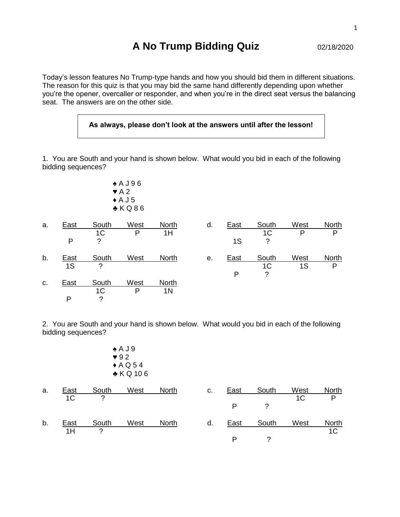## **A No Trump Bidding Quiz** 02/18/2020

Today's lesson features No Trump-type hands and how you should bid them in different situations. The reason for this quiz is that you may bid the same hand differently depending upon whether you're the opener, overcaller or responder, and when you're in the direct seat versus the balancing seat. The answers are on the other side.

## **As always, please don't look at the answers until after the lesson!**

1. You are South and your hand is shown below. What would you bid in each of the following bidding sequences?

> ♠ A J 9 6  $\blacktriangleright$  A 2  $\triangle$  A J 5 ♣ K Q 8 6

| a. | East | South          | West | North | d. | East | South          | West | <b>North</b> |
|----|------|----------------|------|-------|----|------|----------------|------|--------------|
|    |      | 1 <sup>C</sup> | P    | 1H    |    |      | 1 <sup>C</sup> | P    | P            |
|    | P    | ?              |      |       |    | 1S   | ?              |      |              |
| b. | East | South          | West | North | е. | East | South          | West | North        |
|    | 1S   | ?              |      |       |    |      | 1C             | 1S   | P            |
|    |      |                |      |       |    | P    | 2              |      |              |
| C. | East | South          | West | North |    |      |                |      |              |
|    |      | 1 <sup>C</sup> | P    | 1N    |    |      |                |      |              |
|    | P    | ?              |      |       |    |      |                |      |              |

2. You are South and your hand is shown below. What would you bid in each of the following bidding sequences?

| ♠ A J 9                 |
|-------------------------|
| $\blacktriangledown 92$ |
| $\triangle$ A Q 54      |
| ♣ K Q 10 6              |

| a. | East           | South | West | <b>North</b> | C. | East | South | West | <b>North</b>   |
|----|----------------|-------|------|--------------|----|------|-------|------|----------------|
|    | 1 <sup>C</sup> | っ     |      |              |    |      |       | 1C   | P              |
|    |                |       |      |              |    |      |       |      |                |
| b. | East           | South | West | <b>North</b> | d. | East | South | West | North          |
|    | 1H             | っ     |      |              |    |      |       |      | 1 <sup>C</sup> |
|    |                |       |      |              |    |      |       |      |                |